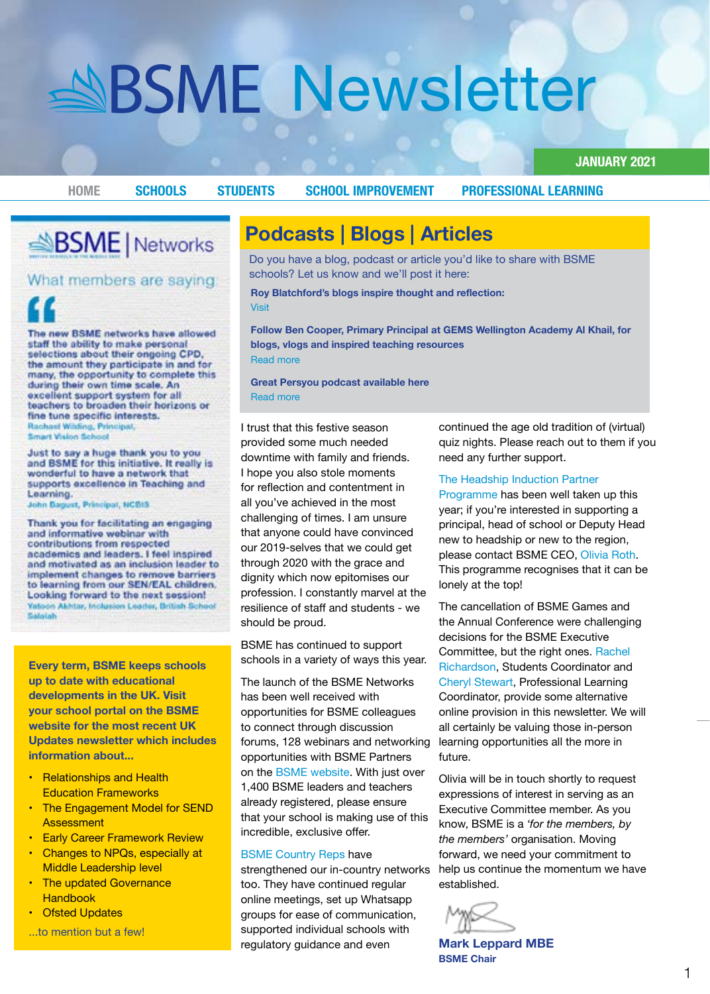**2021 JANUARY**

<span id="page-0-0"></span>**LEARNING SCHOOLS [STUDENTS](#page-3-0) SCHOOL IMPROVEMENT PROFESSIONAL LEARNING** 



What members are saying:

The new BSME networks have allowed staff the ability to make personal selections about their ongoing CPD, the amount they participate in and for many, the opportunity to complete this during their own time scale. An excellent support system for all teachers to broaden their horizons or fine tune specific interests. Rachael Wilding, Principal, **Smart Vision School** 

Just to say a huge thank you to you and BSME for this initiative. It really is wonderful to have a network that supports excellence in Teaching and Learning.

John Bar ust Principal NCBH

Thank you for facilitating an engaging and informative webinar with contributions from respected academics and leaders. I feel inspired and motivated as an inclusion leader to implement changes to remove barriers to learning from our SEN/EAL children. Looking forward to the next session! Akhtar, Inclusio nader, British School Salalah

**Every term, BSME keeps schools up to date with educational developments in the UK. Visit vour school portal on the BSME website for the most recent UK Updates newsletter which includes information** about...

- Relationships and Health **Education Frameworks**
- The Engagement Model for SEND **Assessment**
- Early Career Framework Review
- Changes to NPQs, especially at **Middle Leadership level**
- The updated Governance **Handbook**
- Ofsted Updates
- ...to mention but a few!

### **Podcasts | Blogs | Articles**

Do you have a blog, podcast or article you'd like to share with BSME schools? Let us know and we'll post it here:

Roy Blatchford's blogs inspire thought and reflection: [Visit](https://www.blinks.education/royBlatchfordsColumn.php)

**Follow Ben Cooper, Primary Principal at GEMS Wellington Academy Al Khail, for blogs, vlogs and inspired teaching resources** Read more

#### **Great Persyou podcast available here Read more**

I trust that this festive season provided some much needed downtime with family and friends. I hope you also stole moments for reflection and contentment in all you've achieved in the most challenging of times. I am unsure that anyone could have convinced our 2019-selves that we could get through 2020 with the grace and dignity which now epitomises our profession. I constantly marvel at the resilience of staff and students - we should be proud.

BSME has continued to support schools in a variety of ways this year.

The launch of the BSME Networks has been well received with opportunities for BSME colleagues to connect through discussion forums, 128 webinars and networking opportunities with BSME Partners on the BSME website. With just over 1,400 BSME leaders and teachers already registered, please ensure that your school is making use of this incredible, exclusive offer.

#### **BSME Country Reps have**

strengthened our in-country networks too. They have continued regular online meetings, set up Whatsapp groups for ease of communication, supported individual schools with regulatory guidance and even

continued the age old tradition of (virtual) quiz nights. Please reach out to them if you need any further support.

#### The Headship Induction Partner

Programme has been well taken up this year; if you're interested in supporting a principal, head of school or Deputy Head new to headship or new to the region, please contact BSME CEO, Olivia Roth. This programme recognises that it can be lonely at the top!

The cancellation of BSME Games and the Annual Conference were challenging decisions for the BSME Executive Committee, but the right ones. Rachel Richardson, Students Coordinator and Cheryl Stewart, Professional Learning Coordinator, provide some alternative online provision in this newsletter. We will all certainly be valuing those in-person learning opportunities all the more in future.

Olivia will be in touch shortly to request expressions of interest in serving as an Executive Committee member. As you know, BSME is a 'for the members, by the members' organisation. Moving forward, we need your commitment to help us continue the momentum we have established.

**Mark Leppard MBE BSME** Chair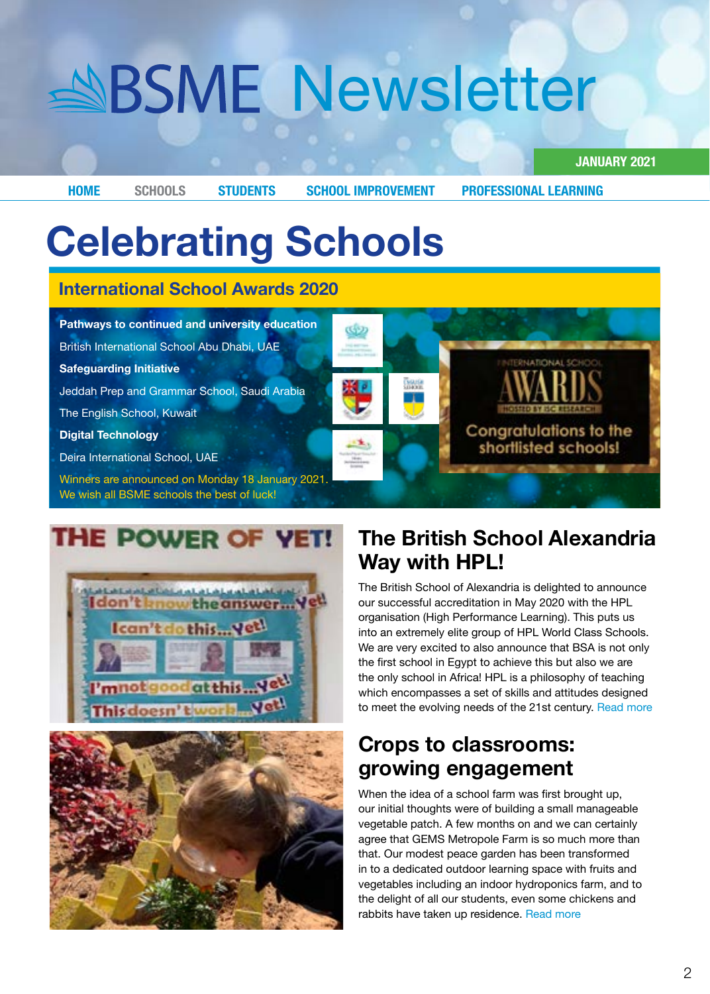**2021 JANUARY**

<span id="page-1-0"></span>**[LEARNING PROFESSIONAL](#page-6-0) [IMPROVEMENT SCHOOL](#page-5-0) [STUDENTS](#page-3-0) SCHOOLS [HOME](#page-0-0)**

## **Celebrating Schools**

#### **International School Awards 2020**



### THE POWER OF YET!





### **The British School Alexandria Way with HPL!**

The British School of Alexandria is delighted to announce our successful accreditation in May 2020 with the HPL organisation (High Performance Learning). This puts us into an extremely elite group of HPL World Class Schools. We are very excited to also announce that BSA is not only the first school in Egypt to achieve this but also we are the only school in Africa! HPL is a philosophy of teaching which encompasses a set of skills and attitudes designed to meet the evolving needs of the 21st century. Read more

### **Crops to classrooms: engagement growing**

When the idea of a school farm was first brought up, our initial thoughts were of building a small manageable vegetable patch. A few months on and we can certainly agree that GEMS Metropole Farm is so much more than that. Our modest peace garden has been transformed in to a dedicated outdoor learning space with fruits and vegetables including an indoor hydroponics farm, and to the delight of all our students, even some chickens and rabbits have taken up residence. Read more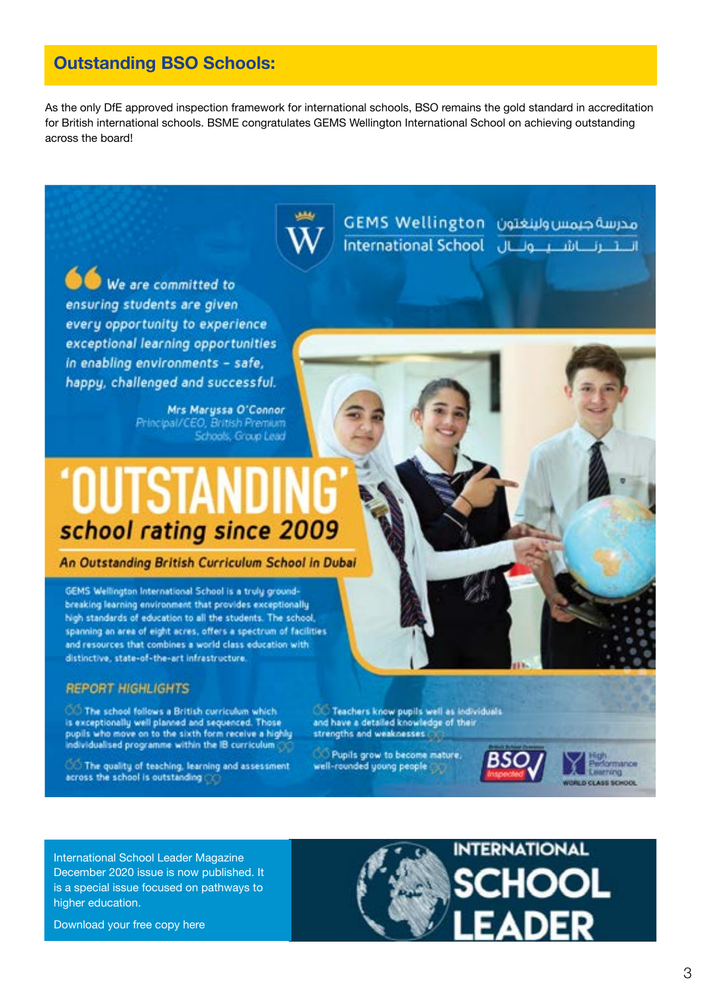#### **Outstanding BSO Schools:**

As the only DfE approved inspection framework for international schools, BSO remains the gold standard in accreditation for British international schools. BSME congratulates GEMS Wellington International School on achieving outstanding across the board!

مدرسة جيمس ولينغتون GEMS Wellington International School ألا لا يتعالى المعلمات

We are committed to ensuring students are given every opportunity to experience exceptional learning opportunities in enabling environments - safe, happy, challenged and successful.

> Mrs Maryssa O'Connor Principal/CEO, British Premium Schools, Group Lead

## 'OUTSTA school rating since 2009

An Outstanding British Curriculum School in Dubai

GEMS Wellington International School is a truly groundbreaking learning environment that provides exceptionally high standards of education to all the students. The school, spanning an area of eight acres, offers a spectrum of facilities and resources that combines a world class education with distinctive, state-of-the-art infrastructure.

#### **REPORT HIGHLIGHTS**

CC The school follows a British curriculum which is exceptionally well planned and sequenced. Those<br>pupils who move on to the sixth form receive a highly individualised programme within the IB curriculum

CO The quality of teaching, learning and assessment across the school is outstanding

 $\bigcirc$  Teachers know pupils well as individuals<br>and have a detailed knowledge of their<br>strengths and weaknesses  $\bigcirc$ 

Pupils grow to become mature, well-rounded young people



**ung CLASS SCHOOL** 

International School Leader Magazine December 2020 issue is now published. It is a special issue focused on pathways to higher education.

Download your free copy here

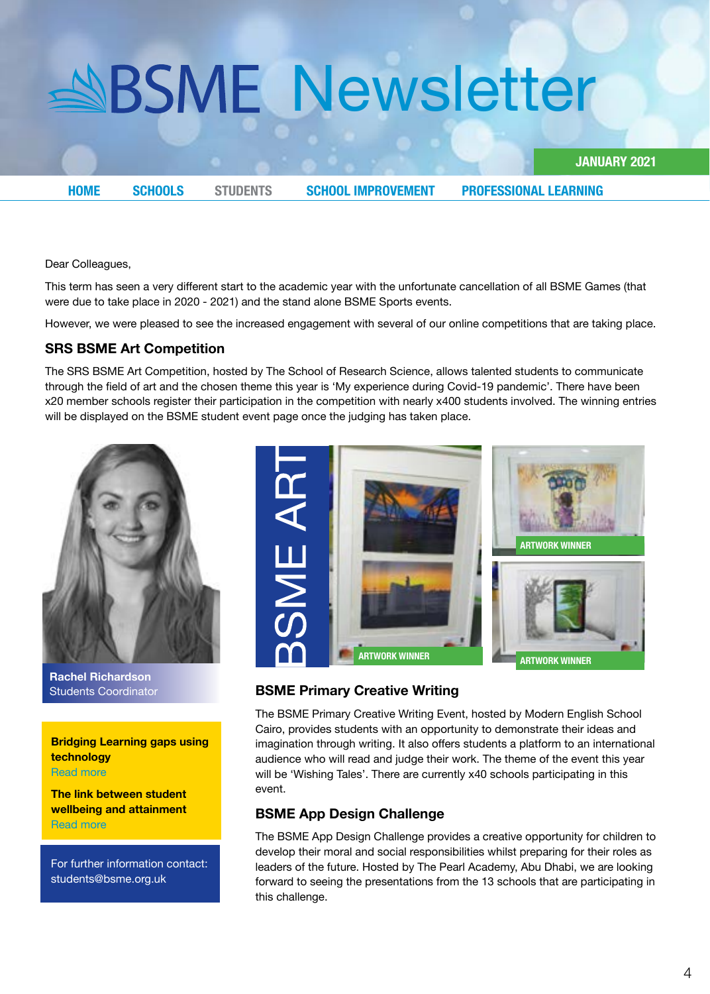**2021 JANUARY**

<span id="page-3-0"></span>**[LEARNING PROFESSIONAL](#page-6-0) [IMPROVEMENT SCHOOL](#page-5-0) STUDENTS [SCHOOLS](#page-1-0) [HOME](#page-0-0)**

Dear Colleagues,

This term has seen a very different start to the academic year with the unfortunate cancellation of all BSME Games (that were due to take place in 2020 - 2021) and the stand alone BSME Sports events.

However, we were pleased to see the increased engagement with several of our online competitions that are taking place.

#### **SRS BSME Art Competition**

The SRS BSME Art Competition, hosted by The School of Research Science, allows talented students to communicate through the field of art and the chosen theme this year is 'My experience during Covid-19 pandemic'. There have been x20 member schools register their participation in the competition with nearly x400 students involved. The winning entries will be displayed on the BSME student event page once the judging has taken place.



**Rachel Richardson Students Coordinator** 

**Bridging Learning gaps using technology Read more** 

**The link between student wellbeing and attainment Read more** 

For further information contact: students@bsme.org.uk



#### **BSME Primary Creative Writing**

The BSME Primary Creative Writing Event, hosted by Modern English School Cairo, provides students with an opportunity to demonstrate their ideas and imagination through writing. It also offers students a platform to an international audience who will read and judge their work. The theme of the event this year will be 'Wishing Tales'. There are currently x40 schools participating in this event.

#### **BSME App Design Challenge**

The BSME App Design Challenge provides a creative opportunity for children to develop their moral and social responsibilities whilst preparing for their roles as leaders of the future. Hosted by The Pearl Academy, Abu Dhabi, we are looking forward to seeing the presentations from the 13 schools that are participating in this challenge.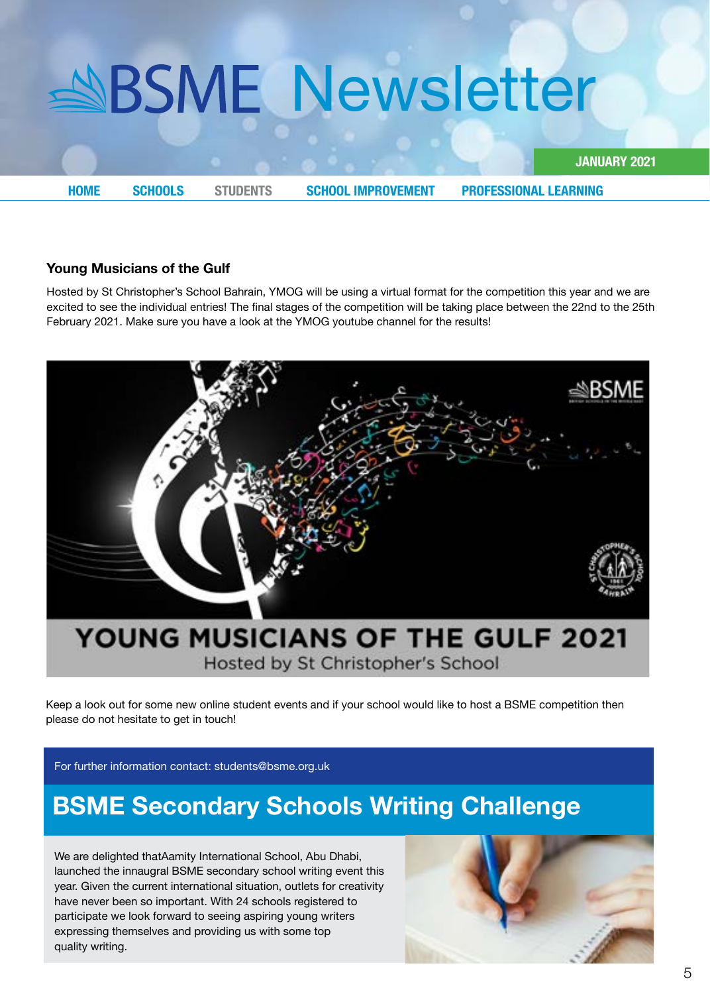**2021 JANUARY**

**[LEARNING PROFESSIONAL](#page-6-0) [IMPROVEMENT SCHOOL](#page-5-0) [STUDENTS](#page-3-0) [SCHOOLS](#page-1-0) [HOME](#page-0-0)**

#### **Young Musicians of the Gulf**

Hosted by St Christopher's School Bahrain, YMOG will be using a virtual format for the competition this year and we are excited to see the individual entries! The final stages of the competition will be taking place between the 22nd to the 25th February 2021. Make sure you have a look at the YMOG youtube channel for the results!

![](_page_4_Picture_8.jpeg)

Keep a look out for some new online student events and if your school would like to host a BSME competition then please do not hesitate to get in touch!

For further information contact: students@bsme.org.uk

### **BSME Secondary Schools Writing Challenge**

We are delighted thatAamity International School, Abu Dhabi, launched the innaugral BSME secondary school writing event this year. Given the current international situation, outlets for creativity have never been so important. With 24 schools registered to participate we look forward to seeing aspiring young writers expressing themselves and providing us with some top quality writing.

![](_page_4_Picture_13.jpeg)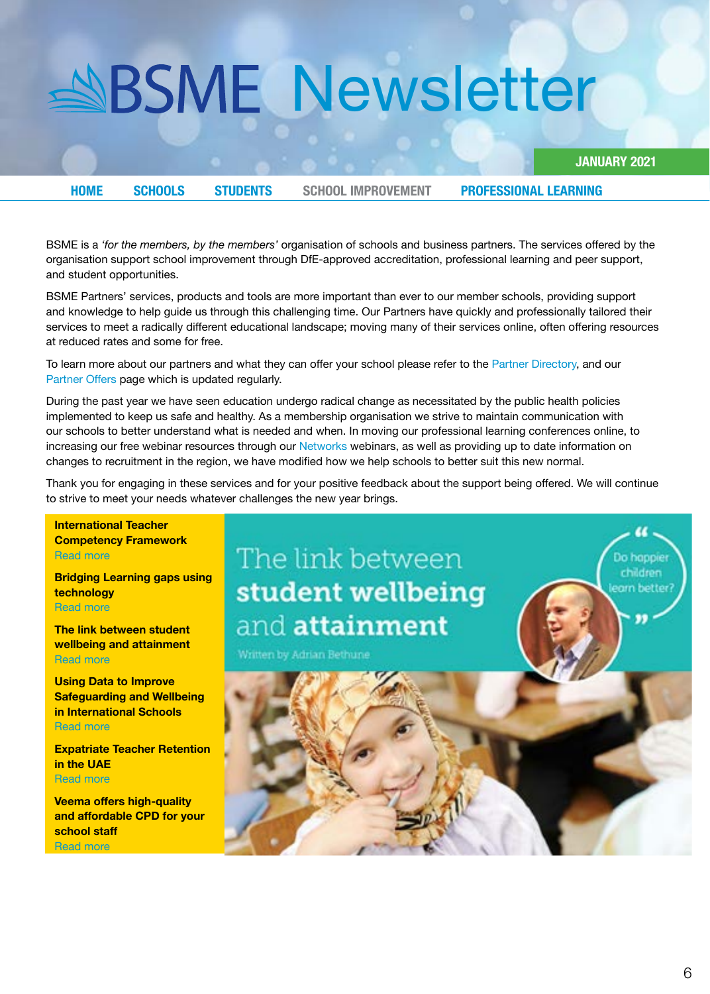**2021 JANUARY**

hannie

<span id="page-5-0"></span>**LEARNING SCHOOLS [STUDENTS](#page-3-0)** SCHOOL IMPROVEMENT PROFESSIONAL LEARNING

BSME is a 'for the members, by the members' organisation of schools and business partners. The services offered by the organisation support school improvement through DfE-approved accreditation, professional learning and peer support, and student opportunities.

BSME Partners' services, products and tools are more important than ever to our member schools, providing support and knowledge to help quide us through this challenging time. Our Partners have quickly and professionally tailored their services to meet a radically different educational landscape: moving many of their services online, often offering resources at reduced rates and some for free.

To learn more about our partners and what they can offer your school please refer to the Partner Directory, and our Partner Offers page which is updated regularly.

During the past year we have seen education undergo radical change as necessitated by the public health policies implemented to keep us safe and healthy. As a membership organisation we strive to maintain communication with our schools to better understand what is needed and when. In moving our professional learning conferences online, to increasing our free webinar resources through our [Networks](https://www.bsme.org.uk/professional-learning/networks) webinars, as well as providing up to date information on changes to recruitment in the region, we have modified how we help schools to better suit this new normal.

Thank you for engaging in these services and for your positive feedback about the support being offered. We will continue to strive to meet your needs whatever challenges the new year brings.

**International Teacher Competency Framework Read more** 

**Bridging Learning gaps using technology Read more** 

**The link between student wellbeing and attainment Read more** 

**Using Data to Improve Safeguarding and Wellbeing in International Schools** Read more

**Expatriate Teacher Retention in the UAF** Read more

**Veema offers high-quality and affordable CPD for your school** staff **Read more** 

### The link between student wellbeing and attainment

Written by Adrian Bethune

![](_page_5_Picture_19.jpeg)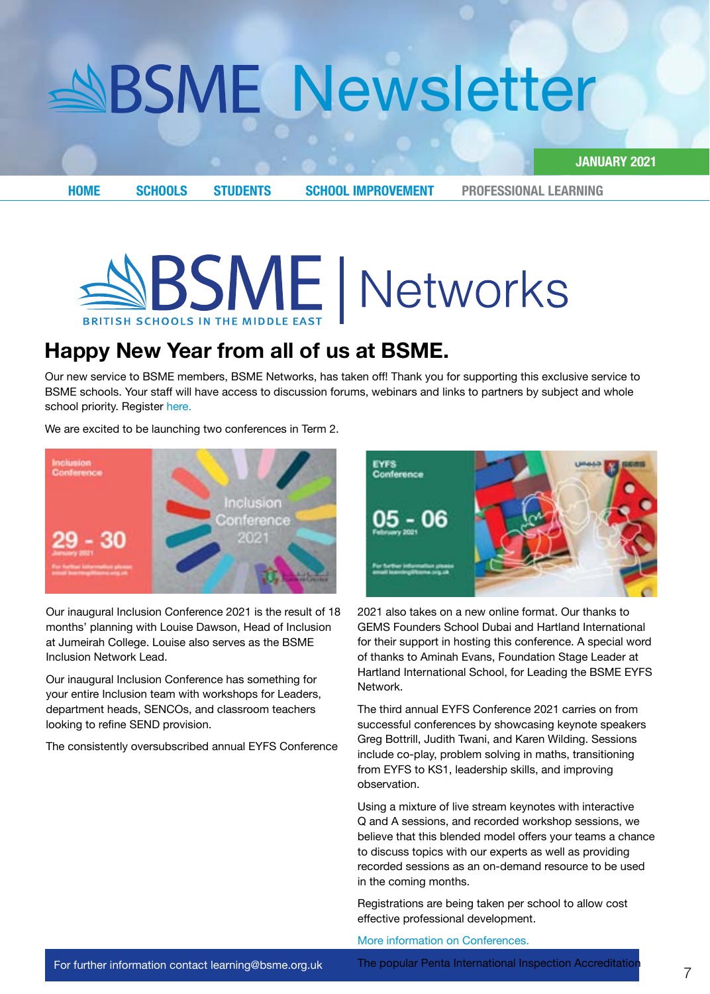<span id="page-6-0"></span>**LEARNING PROFESSIONAL [IMPROVEMENT SCHOOL](#page-5-0) [STUDENTS](#page-3-0) [SCHOOLS](#page-1-0) [HOME](#page-0-0)**

**2021 JANUARY**

# **SSME** Networks

### **Happy New Year from all of us at BSME.**

Our new service to BSME members, BSME Networks, has taken off! Thank you for supporting this exclusive service to BSME schools. Your staff will have access to discussion forums, webinars and links to partners by subject and whole school priority. Register here.

We are excited to be launching two conferences in Term 2.

![](_page_6_Picture_9.jpeg)

Our inaugural Inclusion Conference 2021 is the result of 18 months' planning with Louise Dawson, Head of Inclusion at Jumeirah College. Louise also serves as the BSME Inclusion Network Lead.

Our inaugural Inclusion Conference has something for your entire Inclusion team with workshops for Leaders, department heads, SENCOs, and classroom teachers looking to refine SEND provision.

The consistently oversubscribed annual EYFS Conference

![](_page_6_Picture_13.jpeg)

2021 also takes on a new online format. Our thanks to GEMS Founders School Dubai and Hartland International for their support in hosting this conference. A special word of thanks to Aminah Evans, Foundation Stage Leader at Hartland International School, for Leading the BSME EYFS Network.

The third annual EYFS Conference 2021 carries on from successful conferences by showcasing keynote speakers Greg Bottrill, Judith Twani, and Karen Wilding. Sessions include co-play, problem solving in maths, transitioning from EYFS to KS1, leadership skills, and improving observation.

Using a mixture of live stream keynotes with interactive Q and A sessions, and recorded workshop sessions, we believe that this blended model offers your teams a chance to discuss topics with our experts as well as providing recorded sessions as an on-demand resource to be used in the coming months.

Registrations are being taken per school to allow cost effective professional development.

#### More information on Conferences.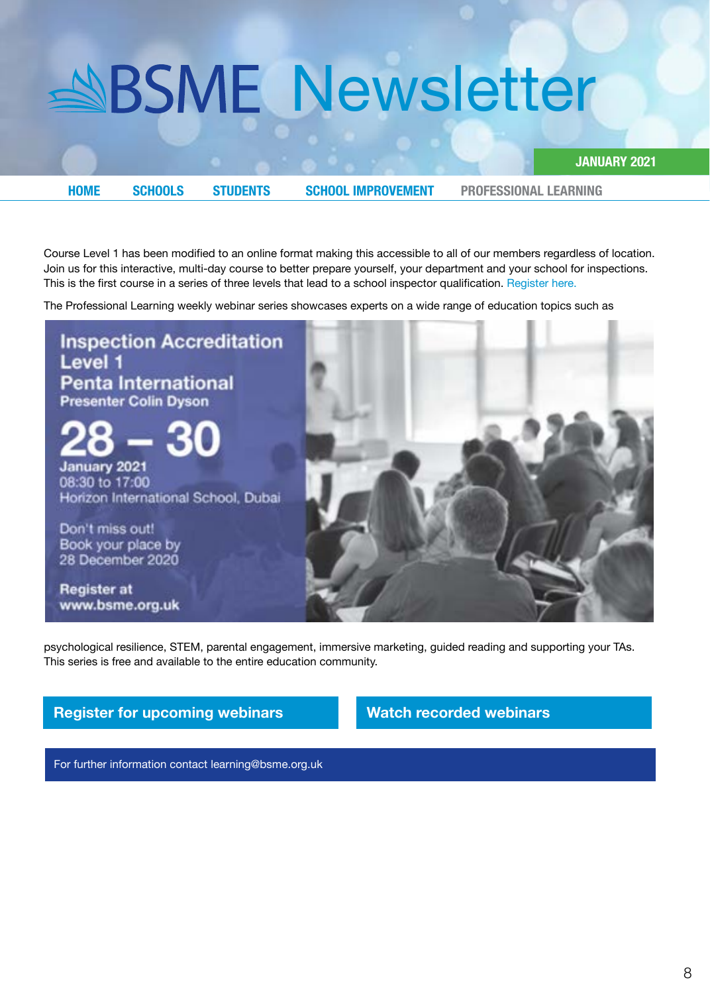**2021 JANUARY**

**[LEARNING PROFESSIONAL](#page-6-0) [IMPROVEMENT SCHOOL](#page-5-0) [STUDENTS](#page-3-0) [SCHOOLS](#page-1-0) [HOME](#page-0-0)**

Course Level 1 has been modified to an online format making this accessible to all of our members regardless of location. Join us for this interactive, multi-day course to better prepare yourself, your department and your school for inspections. This is the first course in a series of three levels that lead to a school inspector qualification. Register here,

The Professional Learning weekly webinar series showcases experts on a wide range of education topics such as

### **Inspection Accreditation** Level 1 **Penta International Presenter Colin Dyson**

January 2021

08:30 to 17:00 Horizon International School, Dubai

Don't miss out! Book your place by 28 December 2020

**Register at** www.bsme.org.uk

![](_page_7_Picture_13.jpeg)

psychological resilience, STEM, parental engagement, immersive marketing, guided reading and supporting your TAs. This series is free and available to the entire education community.

#### **Register for upcoming webinars <b>Register** Watch recorded webinars

For further information contact learning@bsme.org.uk